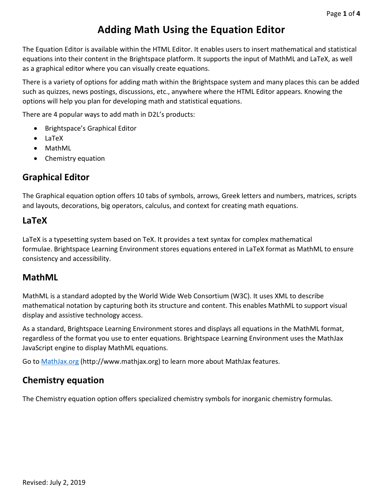# **Adding Math Using the Equation Editor**

The Equation Editor is available within the HTML Editor. It enables users to insert mathematical and statistical equations into their content in the Brightspace platform. It supports the input of MathML and LaTeX, as well as a graphical editor where you can visually create equations.

There is a variety of options for adding math within the Brightspace system and many places this can be added such as quizzes, news postings, discussions, etc., anywhere where the HTML Editor appears. Knowing the options will help you plan for developing math and statistical equations.

There are 4 popular ways to add math in D2L's products:

- Brightspace's Graphical Editor
- LaTeX
- MathML
- Chemistry equation

#### **Graphical Editor**

The Graphical equation option offers 10 tabs of symbols, arrows, Greek letters and numbers, matrices, scripts and layouts, decorations, big operators, calculus, and context for creating math equations.

#### **LaTeX**

LaTeX is a typesetting system based on TeX. It provides a text syntax for complex mathematical formulae. Brightspace Learning Environment stores equations entered in LaTeX format as MathML to ensure consistency and accessibility.

### **MathML**

MathML is a standard adopted by the World Wide Web Consortium (W3C). It uses XML to describe mathematical notation by capturing both its structure and content. This enables MathML to support visual display and assistive technology access.

As a standard, Brightspace Learning Environment stores and displays all equations in the MathML format, regardless of the format you use to enter equations. Brightspace Learning Environment uses the MathJax JavaScript engine to display MathML equations.

Go to [MathJax.org](http://www.mathjax.org/) (http://www.mathjax.org) to learn more about MathJax features.

### **Chemistry equation**

The Chemistry equation option offers specialized chemistry symbols for inorganic chemistry formulas.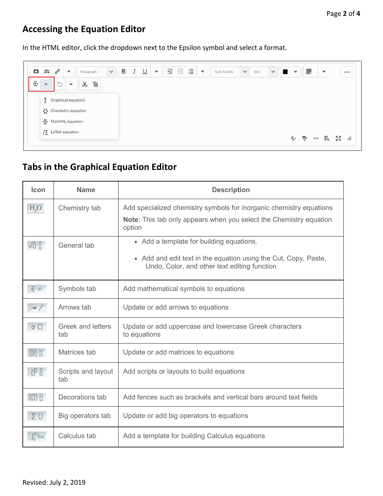## **Accessing the Equation Editor**

In the HTML editor, click the dropdown next to the Epsilon symbol and select a format.

| $\mathbf{\Sigma}$<br>G. | $\sigma^{\circ}$<br>$\mathbf{v}$ | Paragraph   | $\checkmark$ | B | $\underline{\cup}$ | $\overline{+}$<br>$\boldsymbol{\mathrm{v}}$<br>- | $\overline{+}\,\overline{-}$<br>Governor | 這 | $\blacktriangledown$ | Font Family | $\checkmark$ | Size | $\vee$ $\Box$<br>$\blacktriangledown$ | 腮 | $\overline{\phantom{a}}$ |  |
|-------------------------|----------------------------------|-------------|--------------|---|--------------------|--------------------------------------------------|------------------------------------------|---|----------------------|-------------|--------------|------|---------------------------------------|---|--------------------------|--|
| $\overline{\mathbf{v}}$ | ħ<br>$\overline{\mathbf{v}}$     | Ē<br>$\chi$ |              |   |                    |                                                  |                                          |   |                      |             |              |      |                                       |   |                          |  |
|                         | $\sum$ Graphical equation        |             |              |   |                    |                                                  |                                          |   |                      |             |              |      |                                       |   |                          |  |
|                         | $\bigcirc$ Chemistry equation    |             |              |   |                    |                                                  |                                          |   |                      |             |              |      |                                       |   |                          |  |
|                         |                                  |             |              |   |                    |                                                  |                                          |   |                      |             |              |      |                                       |   |                          |  |
|                         | √> MathML equation               |             |              |   |                    |                                                  |                                          |   |                      |             |              |      |                                       |   |                          |  |

## **Tabs in the Graphical Equation Editor**

| <b>Icon</b>                                                                                                                           | <b>Name</b>                     | <b>Description</b>                                                                                                                                          |
|---------------------------------------------------------------------------------------------------------------------------------------|---------------------------------|-------------------------------------------------------------------------------------------------------------------------------------------------------------|
| H <sub>2</sub> O                                                                                                                      | Chemistry tab                   | Add specialized chemistry symbols for inorganic chemistry equations<br><b>Note:</b> This tab only appears when you select the Chemistry equation<br>option  |
| 石品                                                                                                                                    | General tab                     | • Add a template for building equations.<br>• Add and edit text in the equation using the Cut, Copy, Paste,<br>Undo, Color, and other text editing function |
| $\epsilon$ oo                                                                                                                         | Symbols tab                     | Add mathematical symbols to equations                                                                                                                       |
| $\rightarrow$ $\rightarrow$                                                                                                           | Arrows tab                      | Update or add arrows to equations                                                                                                                           |
| $\alpha$ $\Omega$                                                                                                                     | <b>Greek and letters</b><br>tab | Update or add uppercase and lowercase Greek characters<br>to equations                                                                                      |
| $\left[\begin{smallmatrix} 0 & 0 \\ 0 & 0 \end{smallmatrix}\right]\left\{\begin{smallmatrix} 0 & 0 \\ 0 & 0 \end{smallmatrix}\right]$ | Matrices tab                    | Update or add matrices to equations                                                                                                                         |
| 山山                                                                                                                                    | Scripts and layout<br>tab       | Add scripts or layouts to build equations                                                                                                                   |
| $\overline{a}$ $\overline{b}$                                                                                                         | Decorations tab                 | Add fences such as brackets and vertical bars around text fields                                                                                            |
| ΣU                                                                                                                                    | Big operators tab               | Update or add big operators to equations                                                                                                                    |
| $\int_{0}^{0}$ lim                                                                                                                    | Calculus tab                    | Add a template for building Calculus equations                                                                                                              |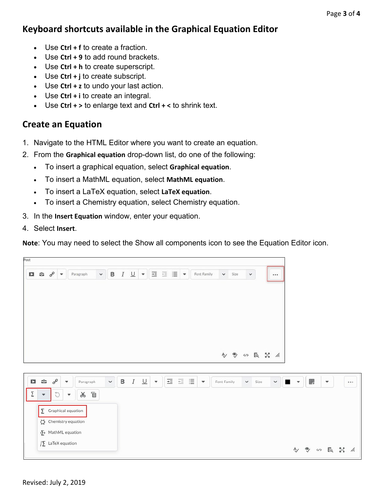## **Keyboard shortcuts available in the Graphical Equation Editor**

- Use Ctrl + f to create a fraction.
- Use **Ctrl + 9** to add round brackets.
- Use **Ctrl + h** to create superscript.
- Use **Ctrl + j** to create subscript.
- Use **Ctrl + z** to undo your last action.
- Use **Ctrl + i** to create an integral.
- Use **Ctrl + >** to enlarge text and **Ctrl + <** to shrink text.

#### **Create an Equation**

- 1. Navigate to the HTML Editor where you want to create an equation.
- 2. From the **Graphical equation** drop-down list, do one of the following:
	- To insert a graphical equation, select **Graphical equation**.
	- To insert a MathML equation, select **MathML equation**.
	- To insert a LaTeX equation, select **LaTeX equation**.
	- To insert a Chemistry equation, select Chemistry equation.
- 3. In the **Insert Equation** window, enter your equation.
- 4. Select **Insert**.

**Note**: You may need to select the Show all components icon to see the Equation Editor icon.

|  | $\Box \quad \mathfrak{S} \quad \mathfrak{S}^0$ | $\boldsymbol{\mathrm{v}}$ | Paragraph | $\checkmark$ | в | I | $\underline{U}$ | $\mathbf{v}$ | 医巨僵 |  | $\boldsymbol{\mathrm{v}}$ | Font Family | $\checkmark$ | Size        | $\checkmark$ |  |  |
|--|------------------------------------------------|---------------------------|-----------|--------------|---|---|-----------------|--------------|-----|--|---------------------------|-------------|--------------|-------------|--------------|--|--|
|  |                                                |                           |           |              |   |   |                 |              |     |  |                           |             |              |             |              |  |  |
|  |                                                |                           |           |              |   |   |                 |              |     |  |                           |             |              |             |              |  |  |
|  |                                                |                           |           |              |   |   |                 |              |     |  |                           |             |              | 4 9 5 5 2 4 |              |  |  |